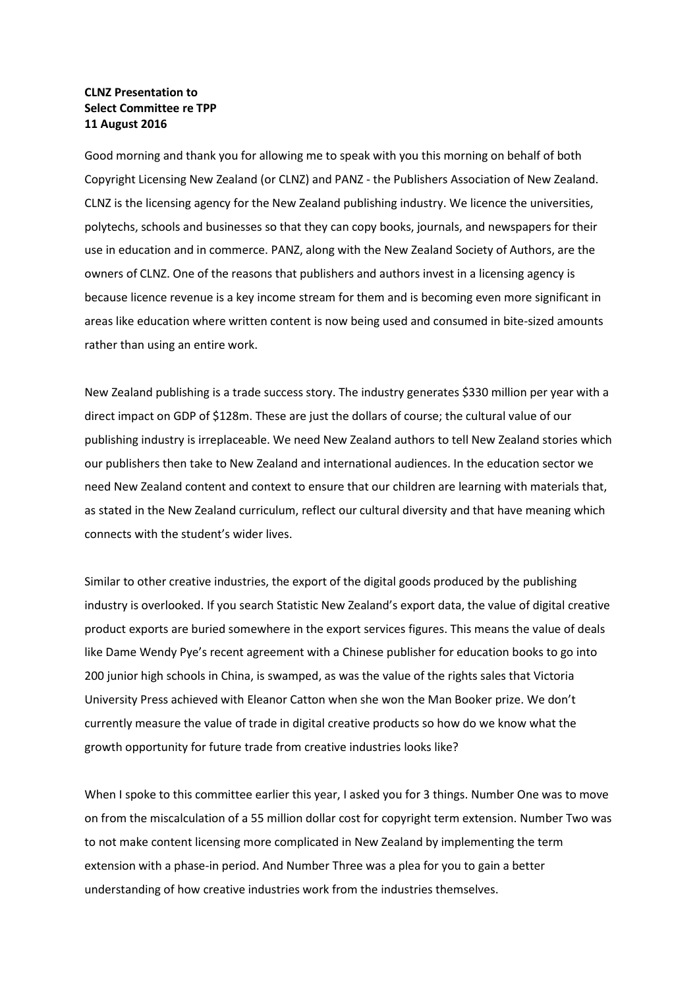## **CLNZ Presentation to Select Committee re TPP 11 August 2016**

Good morning and thank you for allowing me to speak with you this morning on behalf of both Copyright Licensing New Zealand (or CLNZ) and PANZ - the Publishers Association of New Zealand. CLNZ is the licensing agency for the New Zealand publishing industry. We licence the universities, polytechs, schools and businesses so that they can copy books, journals, and newspapers for their use in education and in commerce. PANZ, along with the New Zealand Society of Authors, are the owners of CLNZ. One of the reasons that publishers and authors invest in a licensing agency is because licence revenue is a key income stream for them and is becoming even more significant in areas like education where written content is now being used and consumed in bite-sized amounts rather than using an entire work.

New Zealand publishing is a trade success story. The industry generates \$330 million per year with a direct impact on GDP of \$128m. These are just the dollars of course; the cultural value of our publishing industry is irreplaceable. We need New Zealand authors to tell New Zealand stories which our publishers then take to New Zealand and international audiences. In the education sector we need New Zealand content and context to ensure that our children are learning with materials that, as stated in the New Zealand curriculum, reflect our cultural diversity and that have meaning which connects with the student's wider lives.

Similar to other creative industries, the export of the digital goods produced by the publishing industry is overlooked. If you search Statistic New Zealand's export data, the value of digital creative product exports are buried somewhere in the export services figures. This means the value of deals like Dame Wendy Pye's recent agreement with a Chinese publisher for education books to go into 200 junior high schools in China, is swamped, as was the value of the rights sales that Victoria University Press achieved with Eleanor Catton when she won the Man Booker prize. We don't currently measure the value of trade in digital creative products so how do we know what the growth opportunity for future trade from creative industries looks like?

When I spoke to this committee earlier this year, I asked you for 3 things. Number One was to move on from the miscalculation of a 55 million dollar cost for copyright term extension. Number Two was to not make content licensing more complicated in New Zealand by implementing the term extension with a phase-in period. And Number Three was a plea for you to gain a better understanding of how creative industries work from the industries themselves.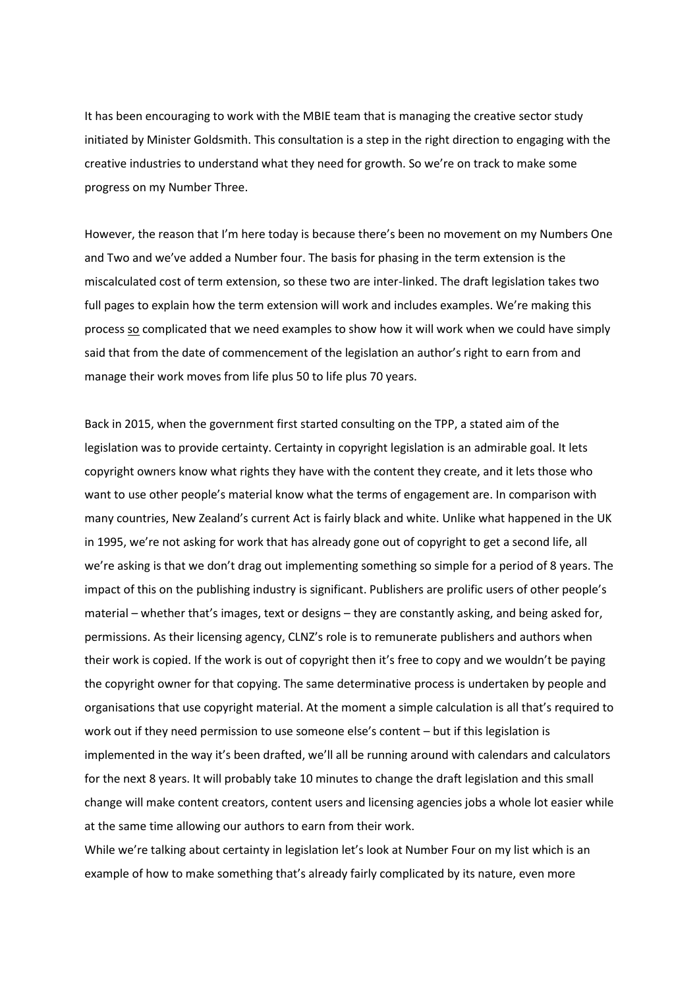It has been encouraging to work with the MBIE team that is managing the creative sector study initiated by Minister Goldsmith. This consultation is a step in the right direction to engaging with the creative industries to understand what they need for growth. So we're on track to make some progress on my Number Three.

However, the reason that I'm here today is because there's been no movement on my Numbers One and Two and we've added a Number four. The basis for phasing in the term extension is the miscalculated cost of term extension, so these two are inter-linked. The draft legislation takes two full pages to explain how the term extension will work and includes examples. We're making this process so complicated that we need examples to show how it will work when we could have simply said that from the date of commencement of the legislation an author's right to earn from and manage their work moves from life plus 50 to life plus 70 years.

Back in 2015, when the government first started consulting on the TPP, a stated aim of the legislation was to provide certainty. Certainty in copyright legislation is an admirable goal. It lets copyright owners know what rights they have with the content they create, and it lets those who want to use other people's material know what the terms of engagement are. In comparison with many countries, New Zealand's current Act is fairly black and white. Unlike what happened in the UK in 1995, we're not asking for work that has already gone out of copyright to get a second life, all we're asking is that we don't drag out implementing something so simple for a period of 8 years. The impact of this on the publishing industry is significant. Publishers are prolific users of other people's material – whether that's images, text or designs – they are constantly asking, and being asked for, permissions. As their licensing agency, CLNZ's role is to remunerate publishers and authors when their work is copied. If the work is out of copyright then it's free to copy and we wouldn't be paying the copyright owner for that copying. The same determinative process is undertaken by people and organisations that use copyright material. At the moment a simple calculation is all that's required to work out if they need permission to use someone else's content – but if this legislation is implemented in the way it's been drafted, we'll all be running around with calendars and calculators for the next 8 years. It will probably take 10 minutes to change the draft legislation and this small change will make content creators, content users and licensing agencies jobs a whole lot easier while at the same time allowing our authors to earn from their work.

While we're talking about certainty in legislation let's look at Number Four on my list which is an example of how to make something that's already fairly complicated by its nature, even more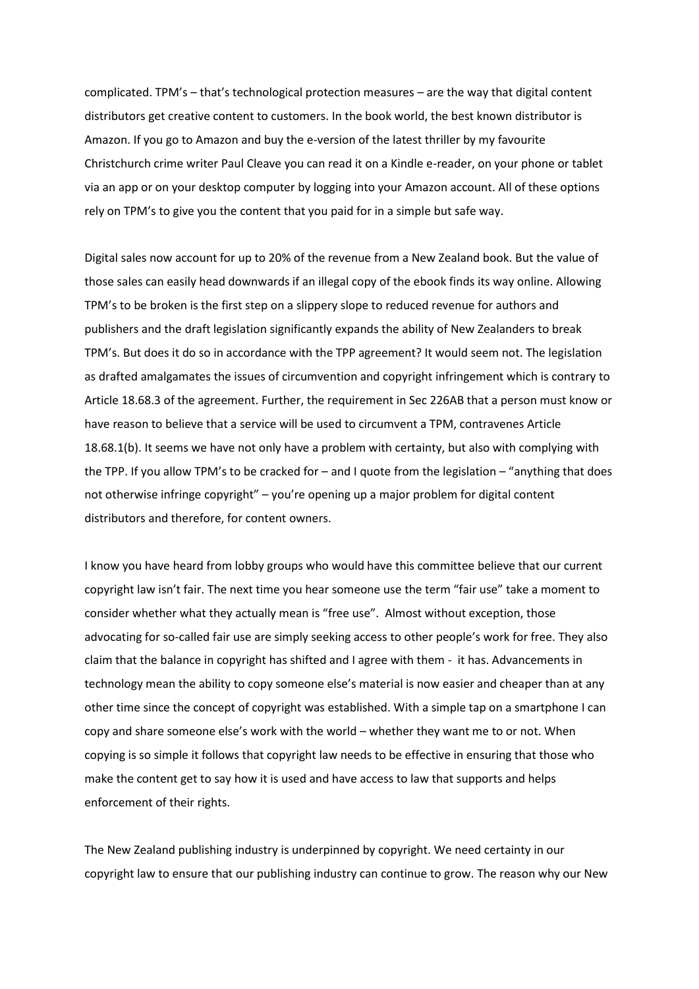complicated. TPM's – that's technological protection measures – are the way that digital content distributors get creative content to customers. In the book world, the best known distributor is Amazon. If you go to Amazon and buy the e-version of the latest thriller by my favourite Christchurch crime writer Paul Cleave you can read it on a Kindle e-reader, on your phone or tablet via an app or on your desktop computer by logging into your Amazon account. All of these options rely on TPM's to give you the content that you paid for in a simple but safe way.

Digital sales now account for up to 20% of the revenue from a New Zealand book. But the value of those sales can easily head downwards if an illegal copy of the ebook finds its way online. Allowing TPM's to be broken is the first step on a slippery slope to reduced revenue for authors and publishers and the draft legislation significantly expands the ability of New Zealanders to break TPM's. But does it do so in accordance with the TPP agreement? It would seem not. The legislation as drafted amalgamates the issues of circumvention and copyright infringement which is contrary to Article 18.68.3 of the agreement. Further, the requirement in Sec 226AB that a person must know or have reason to believe that a service will be used to circumvent a TPM, contravenes Article 18.68.1(b). It seems we have not only have a problem with certainty, but also with complying with the TPP. If you allow TPM's to be cracked for – and I quote from the legislation – "anything that does not otherwise infringe copyright" – you're opening up a major problem for digital content distributors and therefore, for content owners.

I know you have heard from lobby groups who would have this committee believe that our current copyright law isn't fair. The next time you hear someone use the term "fair use" take a moment to consider whether what they actually mean is "free use". Almost without exception, those advocating for so-called fair use are simply seeking access to other people's work for free. They also claim that the balance in copyright has shifted and I agree with them - it has. Advancements in technology mean the ability to copy someone else's material is now easier and cheaper than at any other time since the concept of copyright was established. With a simple tap on a smartphone I can copy and share someone else's work with the world – whether they want me to or not. When copying is so simple it follows that copyright law needs to be effective in ensuring that those who make the content get to say how it is used and have access to law that supports and helps enforcement of their rights.

The New Zealand publishing industry is underpinned by copyright. We need certainty in our copyright law to ensure that our publishing industry can continue to grow. The reason why our New